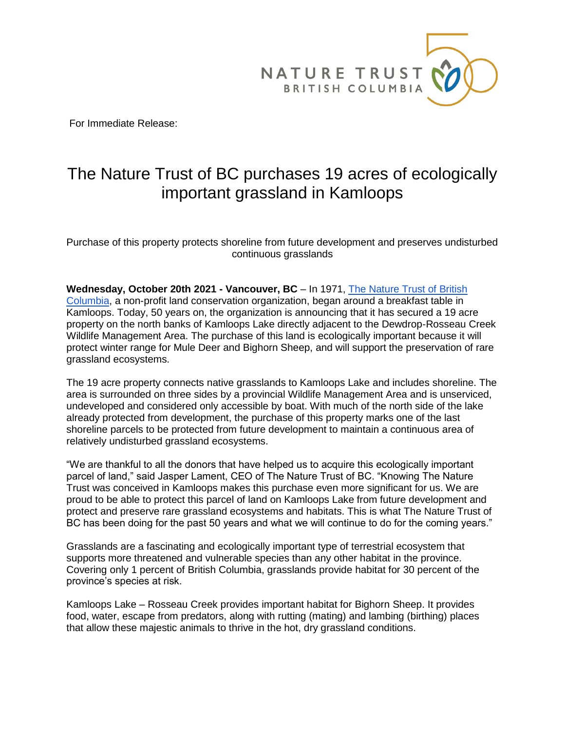

For Immediate Release:

## The Nature Trust of BC purchases 19 acres of ecologically important grassland in Kamloops

Purchase of this property protects shoreline from future development and preserves undisturbed continuous grasslands

**Wednesday, October 20th 2021 - Vancouver, BC** – In 1971, [The Nature Trust of British](https://www.naturetrust.bc.ca/)  [Columbia,](https://www.naturetrust.bc.ca/) a non-profit land conservation organization, began around a breakfast table in Kamloops. Today, 50 years on, the organization is announcing that it has secured a 19 acre property on the north banks of Kamloops Lake directly adjacent to the Dewdrop-Rosseau Creek Wildlife Management Area. The purchase of this land is ecologically important because it will protect winter range for Mule Deer and Bighorn Sheep, and will support the preservation of rare grassland ecosystems.

The 19 acre property connects native grasslands to Kamloops Lake and includes shoreline. The area is surrounded on three sides by a provincial Wildlife Management Area and is unserviced, undeveloped and considered only accessible by boat. With much of the north side of the lake already protected from development, the purchase of this property marks one of the last shoreline parcels to be protected from future development to maintain a continuous area of relatively undisturbed grassland ecosystems.

"We are thankful to all the donors that have helped us to acquire this ecologically important parcel of land," said Jasper Lament, CEO of The Nature Trust of BC. "Knowing The Nature Trust was conceived in Kamloops makes this purchase even more significant for us. We are proud to be able to protect this parcel of land on Kamloops Lake from future development and protect and preserve rare grassland ecosystems and habitats. This is what The Nature Trust of BC has been doing for the past 50 years and what we will continue to do for the coming years."

Grasslands are a fascinating and ecologically important type of terrestrial ecosystem that supports more threatened and vulnerable species than any other habitat in the province. Covering only 1 percent of British Columbia, grasslands provide habitat for 30 percent of the province's species at risk.

Kamloops Lake – Rosseau Creek provides important habitat for Bighorn Sheep. It provides food, water, escape from predators, along with rutting (mating) and lambing (birthing) places that allow these majestic animals to thrive in the hot, dry grassland conditions.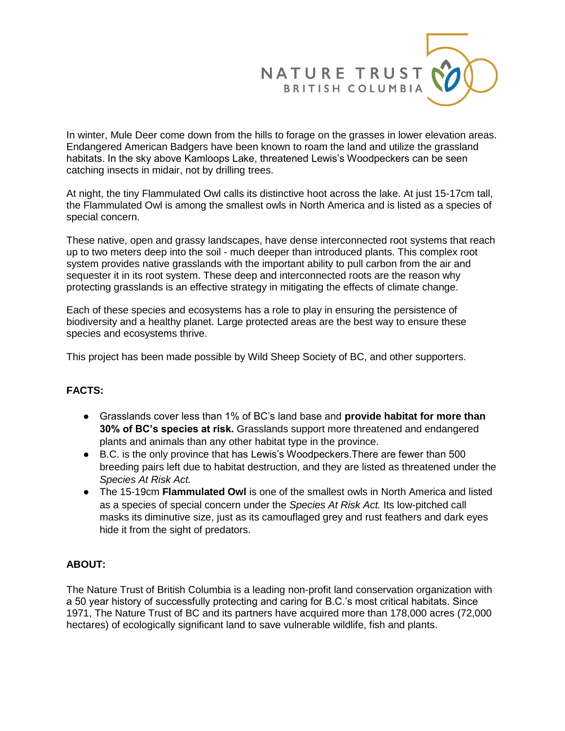

In winter, Mule Deer come down from the hills to forage on the grasses in lower elevation areas. Endangered American Badgers have been known to roam the land and utilize the grassland habitats. In the sky above Kamloops Lake, threatened Lewis's Woodpeckers can be seen catching insects in midair, not by drilling trees.

At night, the tiny Flammulated Owl calls its distinctive hoot across the lake. At just 15-17cm tall, the Flammulated Owl is among the smallest owls in North America and is listed as a species of special concern.

These native, open and grassy landscapes, have dense interconnected root systems that reach up to two meters deep into the soil - much deeper than introduced plants. This complex root system provides native grasslands with the important ability to pull carbon from the air and sequester it in its root system. These deep and interconnected roots are the reason why protecting grasslands is an effective strategy in mitigating the effects of climate change.

Each of these species and ecosystems has a role to play in ensuring the persistence of biodiversity and a healthy planet. Large protected areas are the best way to ensure these species and ecosystems thrive.

This project has been made possible by Wild Sheep Society of BC, and other supporters.

## **FACTS:**

- Grasslands cover less than 1% of BC's land base and **provide habitat for more than 30% of BC's species at risk.** Grasslands support more threatened and endangered plants and animals than any other habitat type in the province.
- B.C. is the only province that has Lewis's Woodpeckers. There are fewer than 500 breeding pairs left due to habitat destruction, and they are listed as threatened under the *Species At Risk Act.*
- The 15-19cm **Flammulated Owl** is one of the smallest owls in North America and listed as a species of special concern under the *Species At Risk Act.* Its low-pitched call masks its diminutive size, just as its camouflaged grey and rust feathers and dark eyes hide it from the sight of predators.

## **ABOUT:**

The Nature Trust of British Columbia is a leading non-profit land conservation organization with a 50 year history of successfully protecting and caring for B.C.'s most critical habitats. Since 1971, The Nature Trust of BC and its partners have acquired more than 178,000 acres (72,000 hectares) of ecologically significant land to save vulnerable wildlife, fish and plants.